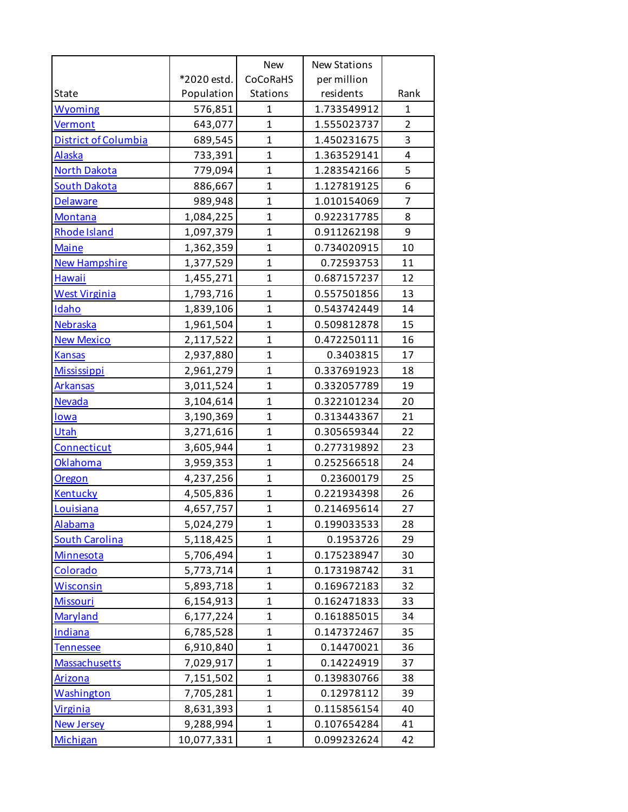|                             |             | <b>New</b>   | <b>New Stations</b> |                |
|-----------------------------|-------------|--------------|---------------------|----------------|
|                             | *2020 estd. | CoCoRaHS     | per million         |                |
| State                       | Population  | Stations     | residents           | Rank           |
| <b>Wyoming</b>              | 576,851     | $\mathbf{1}$ | 1.733549912         | $\mathbf{1}$   |
| Vermont                     | 643,077     | $\mathbf{1}$ | 1.555023737         | $\overline{2}$ |
| <b>District of Columbia</b> | 689,545     | $\mathbf{1}$ | 1.450231675         | 3              |
| <b>Alaska</b>               | 733,391     | $\mathbf{1}$ | 1.363529141         | 4              |
| <b>North Dakota</b>         | 779,094     | $\mathbf{1}$ | 1.283542166         | 5              |
| <b>South Dakota</b>         | 886,667     | $\mathbf{1}$ | 1.127819125         | 6              |
| <b>Delaware</b>             | 989,948     | $\mathbf{1}$ | 1.010154069         | $\overline{7}$ |
| Montana                     | 1,084,225   | $\mathbf{1}$ | 0.922317785         | 8              |
| Rhode Island                | 1,097,379   | $\mathbf{1}$ | 0.911262198         | 9              |
| <b>Maine</b>                | 1,362,359   | $\mathbf{1}$ | 0.734020915         | 10             |
| <b>New Hampshire</b>        | 1,377,529   | $\mathbf{1}$ | 0.72593753          | 11             |
| <b>Hawaii</b>               | 1,455,271   | $\mathbf{1}$ | 0.687157237         | 12             |
| <b>West Virginia</b>        | 1,793,716   | $\mathbf{1}$ | 0.557501856         | 13             |
| <b>Idaho</b>                | 1,839,106   | $\mathbf{1}$ | 0.543742449         | 14             |
| Nebraska                    | 1,961,504   | $\mathbf{1}$ | 0.509812878         | 15             |
| <b>New Mexico</b>           | 2,117,522   | $\mathbf{1}$ | 0.472250111         | 16             |
| <b>Kansas</b>               | 2,937,880   | $\mathbf{1}$ | 0.3403815           | 17             |
| <b>Mississippi</b>          | 2,961,279   | $\mathbf{1}$ | 0.337691923         | 18             |
| <b>Arkansas</b>             | 3,011,524   | $\mathbf{1}$ | 0.332057789         | 19             |
| <b>Nevada</b>               | 3,104,614   | $\mathbf{1}$ | 0.322101234         | 20             |
| lowa                        | 3,190,369   | $\mathbf{1}$ | 0.313443367         | 21             |
| Utah                        | 3,271,616   | $\mathbf{1}$ | 0.305659344         | 22             |
| Connecticut                 | 3,605,944   | $\mathbf{1}$ | 0.277319892         | 23             |
| <b>Oklahoma</b>             | 3,959,353   | $\mathbf{1}$ | 0.252566518         | 24             |
| Oregon                      | 4,237,256   | $\mathbf{1}$ | 0.23600179          | 25             |
| <b>Kentucky</b>             | 4,505,836   | $\mathbf{1}$ | 0.221934398         | 26             |
| Louisiana                   | 4,657,757   | $\mathbf{1}$ | 0.214695614         | 27             |
| Alabama                     | 5,024,279   | 1            | 0.199033533         | 28             |
| <b>South Carolina</b>       | 5,118,425   | $\mathbf{1}$ | 0.1953726           | 29             |
| Minnesota                   | 5,706,494   | $\mathbf{1}$ | 0.175238947         | 30             |
| Colorado                    | 5,773,714   | $\mathbf{1}$ | 0.173198742         | 31             |
| <b>Wisconsin</b>            | 5,893,718   | $\mathbf{1}$ | 0.169672183         | 32             |
| <b>Missouri</b>             | 6,154,913   | $\mathbf{1}$ | 0.162471833         | 33             |
| Maryland                    | 6,177,224   | $\mathbf{1}$ | 0.161885015         | 34             |
| Indiana                     | 6,785,528   | $\mathbf{1}$ | 0.147372467         | 35             |
| <b>Tennessee</b>            | 6,910,840   | $\mathbf{1}$ | 0.14470021          | 36             |
| <b>Massachusetts</b>        | 7,029,917   | $\mathbf{1}$ | 0.14224919          | 37             |
| <b>Arizona</b>              | 7,151,502   | $\mathbf{1}$ | 0.139830766         | 38             |
| <b>Washington</b>           | 7,705,281   | $\mathbf{1}$ | 0.12978112          | 39             |
| <b>Virginia</b>             | 8,631,393   | $\mathbf{1}$ | 0.115856154         | 40             |
| <b>New Jersey</b>           | 9,288,994   | $\mathbf{1}$ | 0.107654284         | 41             |
| Michigan                    | 10,077,331  | $\mathbf{1}$ | 0.099232624         | 42             |